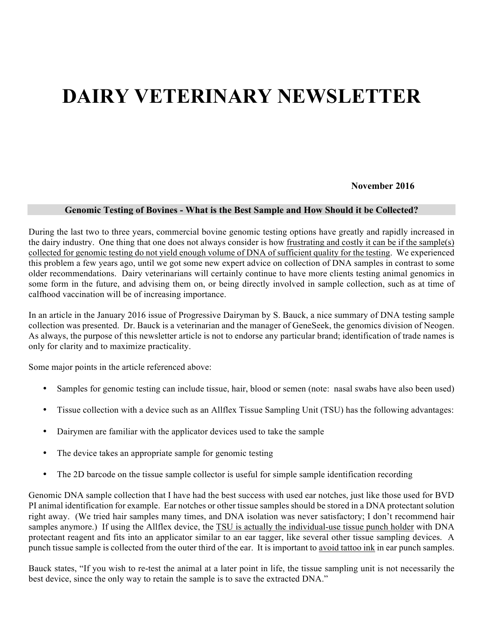# **DAIRY VETERINARY NEWSLETTER**

#### **November 2016**

#### **Genomic Testing of Bovines - What is the Best Sample and How Should it be Collected?**

During the last two to three years, commercial bovine genomic testing options have greatly and rapidly increased in the dairy industry. One thing that one does not always consider is how frustrating and costly it can be if the sample(s) collected for genomic testing do not yield enough volume of DNA of sufficient quality for the testing. We experienced this problem a few years ago, until we got some new expert advice on collection of DNA samples in contrast to some older recommendations. Dairy veterinarians will certainly continue to have more clients testing animal genomics in some form in the future, and advising them on, or being directly involved in sample collection, such as at time of calfhood vaccination will be of increasing importance.

In an article in the January 2016 issue of Progressive Dairyman by S. Bauck, a nice summary of DNA testing sample collection was presented. Dr. Bauck is a veterinarian and the manager of GeneSeek, the genomics division of Neogen. As always, the purpose of this newsletter article is not to endorse any particular brand; identification of trade names is only for clarity and to maximize practicality.

Some major points in the article referenced above:

- Samples for genomic testing can include tissue, hair, blood or semen (note: nasal swabs have also been used)
- Tissue collection with a device such as an Allflex Tissue Sampling Unit (TSU) has the following advantages:
- Dairymen are familiar with the applicator devices used to take the sample
- The device takes an appropriate sample for genomic testing
- The 2D barcode on the tissue sample collector is useful for simple sample identification recording

Genomic DNA sample collection that I have had the best success with used ear notches, just like those used for BVD PI animal identification for example. Ear notches or other tissue samples should be stored in a DNA protectant solution right away. (We tried hair samples many times, and DNA isolation was never satisfactory; I don't recommend hair samples anymore.) If using the Allflex device, the TSU is actually the individual-use tissue punch holder with DNA protectant reagent and fits into an applicator similar to an ear tagger, like several other tissue sampling devices. A punch tissue sample is collected from the outer third of the ear. It is important to avoid tattoo ink in ear punch samples.

Bauck states, "If you wish to re-test the animal at a later point in life, the tissue sampling unit is not necessarily the best device, since the only way to retain the sample is to save the extracted DNA."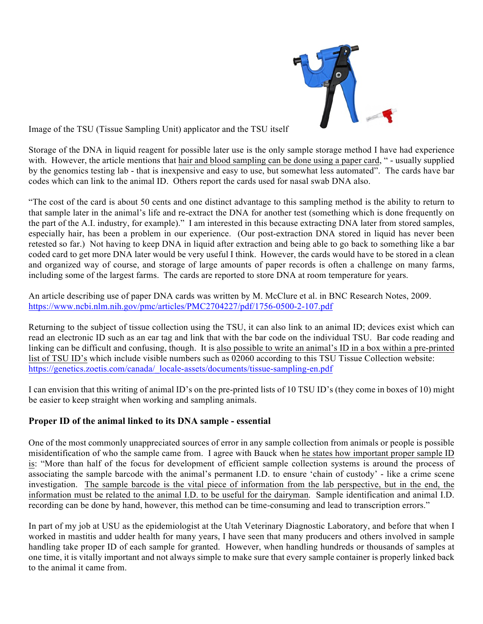

Image of the TSU (Tissue Sampling Unit) applicator and the TSU itself

Storage of the DNA in liquid reagent for possible later use is the only sample storage method I have had experience with. However, the article mentions that hair and blood sampling can be done using a paper card, " - usually supplied by the genomics testing lab - that is inexpensive and easy to use, but somewhat less automated". The cards have bar codes which can link to the animal ID. Others report the cards used for nasal swab DNA also.

"The cost of the card is about 50 cents and one distinct advantage to this sampling method is the ability to return to that sample later in the animal's life and re-extract the DNA for another test (something which is done frequently on the part of the A.I. industry, for example)." I am interested in this because extracting DNA later from stored samples, especially hair, has been a problem in our experience. (Our post-extraction DNA stored in liquid has never been retested so far.) Not having to keep DNA in liquid after extraction and being able to go back to something like a bar coded card to get more DNA later would be very useful I think. However, the cards would have to be stored in a clean and organized way of course, and storage of large amounts of paper records is often a challenge on many farms, including some of the largest farms. The cards are reported to store DNA at room temperature for years.

An article describing use of paper DNA cards was written by M. McClure et al. in BNC Research Notes, 2009. https://www.ncbi.nlm.nih.gov/pmc/articles/PMC2704227/pdf/1756-0500-2-107.pdf

Returning to the subject of tissue collection using the TSU, it can also link to an animal ID; devices exist which can read an electronic ID such as an ear tag and link that with the bar code on the individual TSU. Bar code reading and linking can be difficult and confusing, though. It is also possible to write an animal's ID in a box within a pre-printed list of TSU ID's which include visible numbers such as 02060 according to this TSU Tissue Collection website: https://genetics.zoetis.com/canada/\_locale-assets/documents/tissue-sampling-en.pdf

I can envision that this writing of animal ID's on the pre-printed lists of 10 TSU ID's (they come in boxes of 10) might be easier to keep straight when working and sampling animals.

### **Proper ID of the animal linked to its DNA sample - essential**

One of the most commonly unappreciated sources of error in any sample collection from animals or people is possible misidentification of who the sample came from. I agree with Bauck when he states how important proper sample ID is: "More than half of the focus for development of efficient sample collection systems is around the process of associating the sample barcode with the animal's permanent I.D. to ensure 'chain of custody' - like a crime scene investigation. The sample barcode is the vital piece of information from the lab perspective, but in the end, the information must be related to the animal I.D. to be useful for the dairyman. Sample identification and animal I.D. recording can be done by hand, however, this method can be time-consuming and lead to transcription errors."

In part of my job at USU as the epidemiologist at the Utah Veterinary Diagnostic Laboratory, and before that when I worked in mastitis and udder health for many years, I have seen that many producers and others involved in sample handling take proper ID of each sample for granted. However, when handling hundreds or thousands of samples at one time, it is vitally important and not always simple to make sure that every sample container is properly linked back to the animal it came from.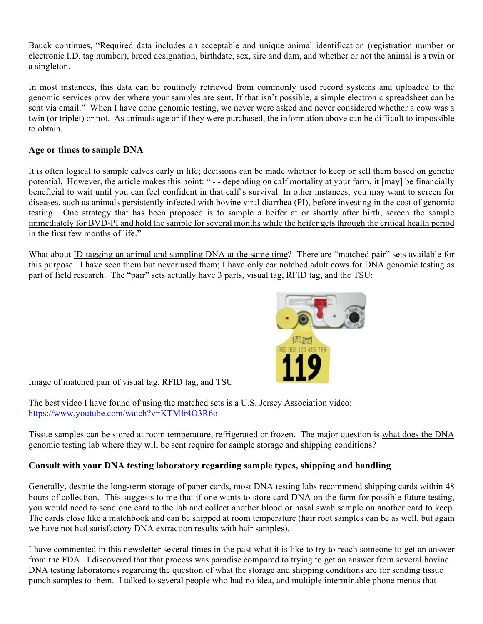Bauck continues, "Required data includes an acceptable and unique animal identification (registration number or electronic I.D. tag number), breed designation, birthdate, sex, sire and dam, and whether or not the animal is a twin or a singleton.

In most instances, this data can be routinely retrieved from commonly used record systems and uploaded to the genomic services provider where your samples are sent. If that isn't possible, a simple electronic spreadsheet can be sent via email." When I have done genomic testing, we never were asked and never considered whether a cow was a twin (or triplet) or not. As animals age or if they were purchased, the information above can be difficult to impossible to obtain.

## **Age or times to sample DNA**

It is often logical to sample calves early in life; decisions can be made whether to keep or sell them based on genetic potential. However, the article makes this point: " - - depending on calf mortality at your farm, it [may] be financially beneficial to wait until you can feel confident in that calf's survival. In other instances, you may want to screen for diseases, such as animals persistently infected with bovine viral diarrhea (PI), before investing in the cost of genomic testing. One strategy that has been proposed is to sample a heifer at or shortly after birth, screen the sample immediately for BVD-PI and hold the sample for several months while the heifer gets through the critical health period in the first few months of life."

What about ID tagging an animal and sampling DNA at the same time? There are "matched pair" sets available for this purpose. I have seen them but never used them; I have only ear notched adult cows for DNA genomic testing as part of field research. The "pair" sets actually have 3 parts, visual tag, RFID tag, and the TSU:



Image of matched pair of visual tag, RFID tag, and TSU

The best video I have found of using the matched sets is a U.S. Jersey Association video: https://www.youtube.com/watch?v=KTMfr4O3R6o

Tissue samples can be stored at room temperature, refrigerated or frozen. The major question is what does the DNA genomic testing lab where they will be sent require for sample storage and shipping conditions?

### **Consult with your DNA testing laboratory regarding sample types, shipping and handling**

Generally, despite the long-term storage of paper cards, most DNA testing labs recommend shipping cards within 48 hours of collection. This suggests to me that if one wants to store card DNA on the farm for possible future testing, you would need to send one card to the lab and collect another blood or nasal swab sample on another card to keep. The cards close like a matchbook and can be shipped at room temperature (hair root samples can be as well, but again we have not had satisfactory DNA extraction results with hair samples).

I have commented in this newsletter several times in the past what it is like to try to reach someone to get an answer from the FDA. I discovered that that process was paradise compared to trying to get an answer from several bovine DNA testing laboratories regarding the question of what the storage and shipping conditions are for sending tissue punch samples to them. I talked to several people who had no idea, and multiple interminable phone menus that